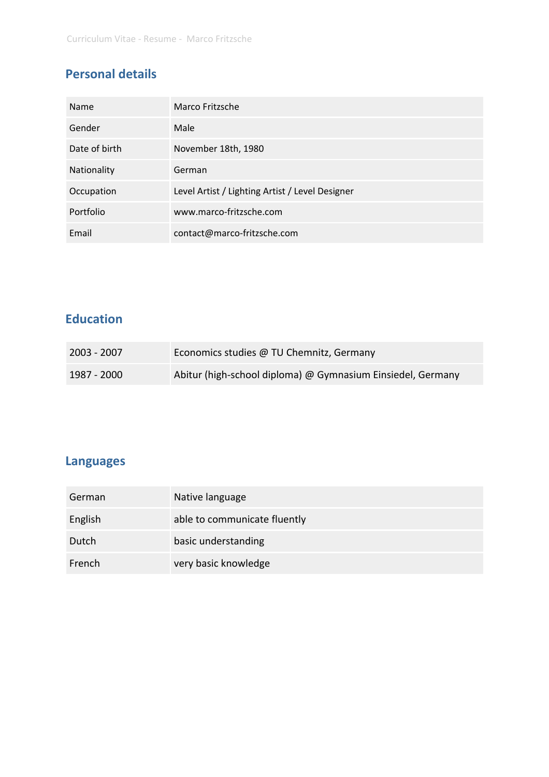# **Personal details**

| Name          | Marco Fritzsche                                 |
|---------------|-------------------------------------------------|
| Gender        | Male                                            |
| Date of birth | November 18th, 1980                             |
| Nationality   | German                                          |
| Occupation    | Level Artist / Lighting Artist / Level Designer |
| Portfolio     | www.marco-fritzsche.com                         |
| Email         | contact@marco-fritzsche.com                     |

### **Education**

| 2003 - 2007 | Economics studies @ TU Chemnitz, Germany                    |
|-------------|-------------------------------------------------------------|
| 1987 - 2000 | Abitur (high-school diploma) @ Gymnasium Einsiedel, Germany |

# **Languages**

| German  | Native language              |
|---------|------------------------------|
| English | able to communicate fluently |
| Dutch   | basic understanding          |
| French  | very basic knowledge         |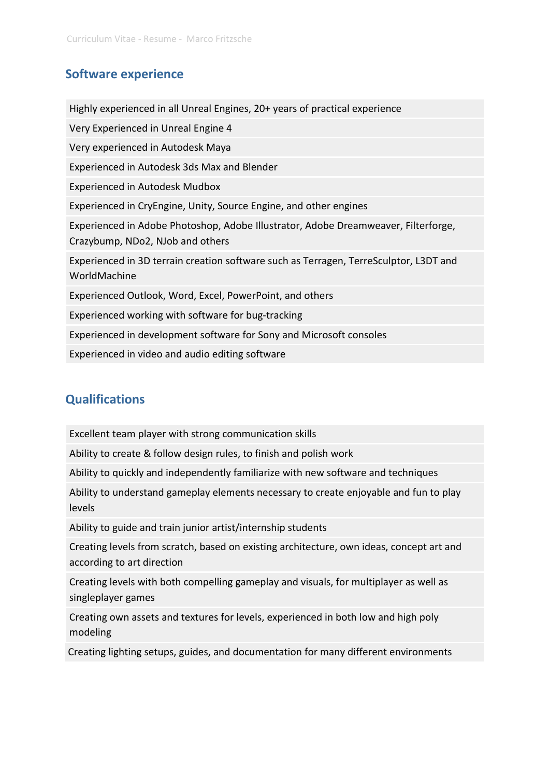#### **Software experience**

Highly experienced in all Unreal Engines, 20+ years of practical experience Very Experienced in Unreal Engine 4 Very experienced in Autodesk Maya Experienced in Autodesk 3ds Max and Blender Experienced in Autodesk Mudbox Experienced in CryEngine, Unity, Source Engine, and other engines Experienced in Adobe Photoshop, Adobe Illustrator, Adobe Dreamweaver, Filterforge, Crazybump, NDo2, NJob and others Experienced in 3D terrain creation software such as Terragen, TerreSculptor, L3DT and WorldMachine Experienced Outlook, Word, Excel, PowerPoint, and others Experienced working with software for bug-tracking Experienced in development software for Sony and Microsoft consoles Experienced in video and audio editing software

#### **Qualifications**

Excellent team player with strong communication skills

Ability to create & follow design rules, to finish and polish work

Ability to quickly and independently familiarize with new software and techniques

Ability to understand gameplay elements necessary to create enjoyable and fun to play levels

Ability to guide and train junior artist/internship students

Creating levels from scratch, based on existing architecture, own ideas, concept art and according to art direction

Creating levels with both compelling gameplay and visuals, for multiplayer as well as singleplayer games

Creating own assets and textures for levels, experienced in both low and high poly modeling

Creating lighting setups, guides, and documentation for many different environments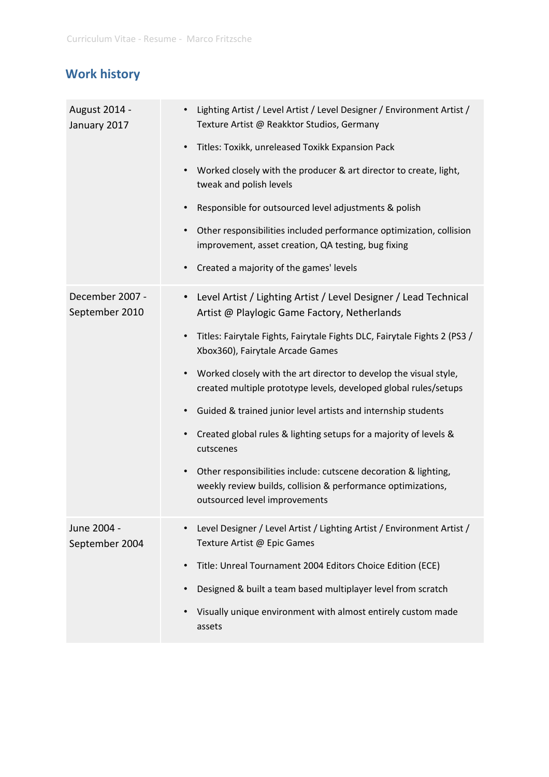# **Work history**

| August 2014 -<br>January 2017     | • Lighting Artist / Level Artist / Level Designer / Environment Artist /<br>Texture Artist @ Reakktor Studios, Germany                                                        |
|-----------------------------------|-------------------------------------------------------------------------------------------------------------------------------------------------------------------------------|
|                                   | Titles: Toxikk, unreleased Toxikk Expansion Pack<br>$\bullet$                                                                                                                 |
|                                   | Worked closely with the producer & art director to create, light,<br>$\bullet$<br>tweak and polish levels                                                                     |
|                                   | Responsible for outsourced level adjustments & polish<br>$\bullet$                                                                                                            |
|                                   | Other responsibilities included performance optimization, collision<br>$\bullet$<br>improvement, asset creation, QA testing, bug fixing                                       |
|                                   | Created a majority of the games' levels<br>$\bullet$                                                                                                                          |
| December 2007 -<br>September 2010 | Level Artist / Lighting Artist / Level Designer / Lead Technical<br>$\bullet$<br>Artist @ Playlogic Game Factory, Netherlands                                                 |
|                                   | Titles: Fairytale Fights, Fairytale Fights DLC, Fairytale Fights 2 (PS3 /<br>$\bullet$<br>Xbox360), Fairytale Arcade Games                                                    |
|                                   | Worked closely with the art director to develop the visual style,<br>$\bullet$<br>created multiple prototype levels, developed global rules/setups                            |
|                                   | Guided & trained junior level artists and internship students                                                                                                                 |
|                                   | Created global rules & lighting setups for a majority of levels &<br>$\bullet$<br>cutscenes                                                                                   |
|                                   | Other responsibilities include: cutscene decoration & lighting,<br>$\bullet$<br>weekly review builds, collision & performance optimizations,<br>outsourced level improvements |
| June 2004 -<br>September 2004     | Level Designer / Level Artist / Lighting Artist / Environment Artist /<br>Texture Artist @ Epic Games                                                                         |
|                                   | Title: Unreal Tournament 2004 Editors Choice Edition (ECE)<br>$\bullet$                                                                                                       |
|                                   | Designed & built a team based multiplayer level from scratch<br>$\bullet$                                                                                                     |
|                                   | Visually unique environment with almost entirely custom made<br>$\bullet$<br>assets                                                                                           |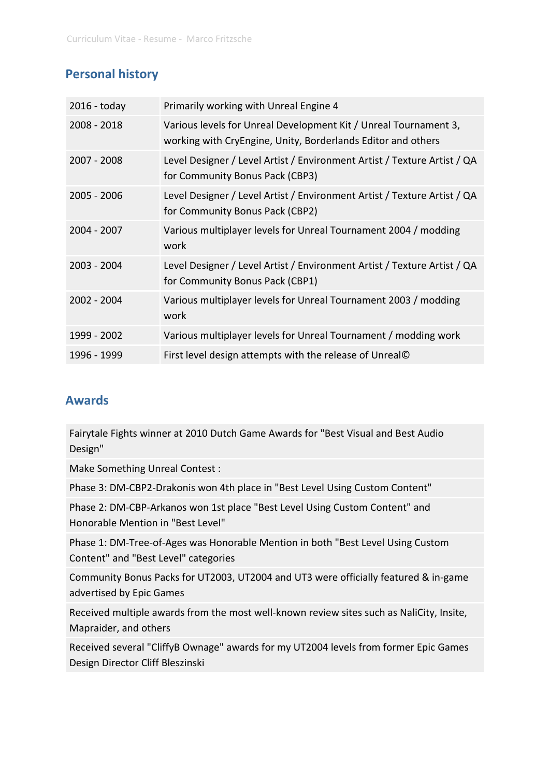### **Personal history**

| $2016 -$ today | Primarily working with Unreal Engine 4                                                                                           |
|----------------|----------------------------------------------------------------------------------------------------------------------------------|
| 2008 - 2018    | Various levels for Unreal Development Kit / Unreal Tournament 3,<br>working with CryEngine, Unity, Borderlands Editor and others |
| 2007 - 2008    | Level Designer / Level Artist / Environment Artist / Texture Artist / QA<br>for Community Bonus Pack (CBP3)                      |
| 2005 - 2006    | Level Designer / Level Artist / Environment Artist / Texture Artist / QA<br>for Community Bonus Pack (CBP2)                      |
| 2004 - 2007    | Various multiplayer levels for Unreal Tournament 2004 / modding<br>work                                                          |
| 2003 - 2004    | Level Designer / Level Artist / Environment Artist / Texture Artist / QA<br>for Community Bonus Pack (CBP1)                      |
| 2002 - 2004    | Various multiplayer levels for Unreal Tournament 2003 / modding<br>work                                                          |
| 1999 - 2002    | Various multiplayer levels for Unreal Tournament / modding work                                                                  |
| 1996 - 1999    | First level design attempts with the release of Unreal©                                                                          |

#### **Awards**

Fairytale Fights winner at 2010 Dutch Game Awards for "Best Visual and Best Audio Design"

Make Something Unreal Contest :

Phase 3: DM-CBP2-Drakonis won 4th place in "Best Level Using Custom Content"

Phase 2: DM-CBP-Arkanos won 1st place "Best Level Using Custom Content" and Honorable Mention in "Best Level"

Phase 1: DM-Tree-of-Ages was Honorable Mention in both "Best Level Using Custom Content" and "Best Level" categories

Community Bonus Packs for UT2003, UT2004 and UT3 were officially featured & in-game advertised by Epic Games

Received multiple awards from the most well-known review sites such as NaliCity, Insite, Mapraider, and others

Received several "CliffyB Ownage" awards for my UT2004 levels from former Epic Games Design Director Cliff Bleszinski